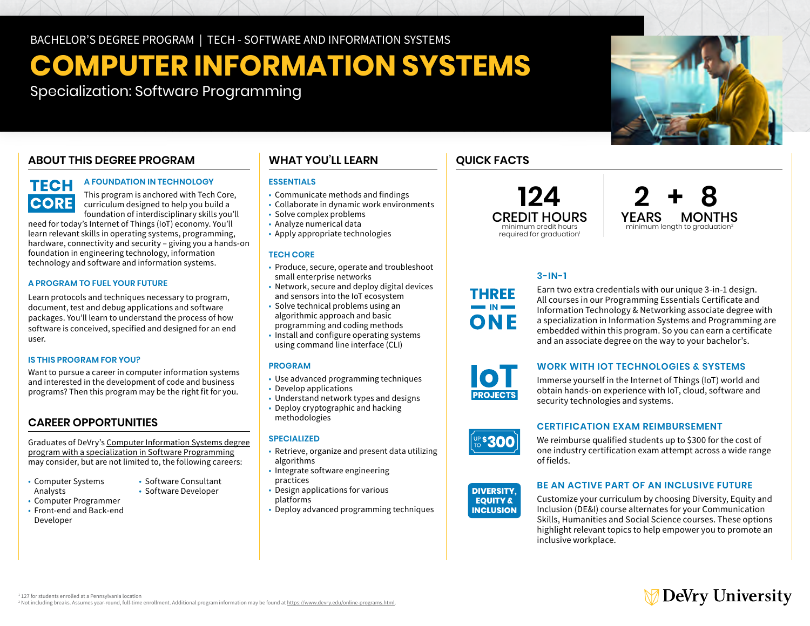# **COMPUTER INFORMATION SYSTEMS**

Specialization: Software Programming

# **ABOUT THIS DEGREE PROGRAM**

# **TECH CORE**

### **A FOUNDATION IN TECHNOLOGY**

This program is anchored with Tech Core, curriculum designed to help you build a foundation of interdisciplinary skills you'll

need for today's Internet of Things (IoT) economy. You'll learn relevant skills in operating systems, programming, hardware, connectivity and security – giving you a hands-on foundation in engineering technology, information technology and software and information systems.

### **A PROGRAM TO FUEL YOUR FUTURE**

Learn protocols and techniques necessary to program, document, test and debug applications and software packages. You'll learn to understand the process of how software is conceived, specified and designed for an end user.

### **IS THIS PROGRAM FOR YOU?**

Want to pursue a career in computer information systems and interested in the development of code and business programs? Then this program may be the right fit for you.

## **CAREER OPPORTUNITIES**

Graduates of DeVry's [Computer Information Systems degree](https://www.devry.edu/online-programs/bachelors-degrees/computer-information-systems/software-programming-specialization.html) [program with a specialization in Software Programming](https://www.devry.edu/online-programs/bachelors-degrees/computer-information-systems/software-programming-specialization.html) may consider, but are not limited to, the following careers:

• Software Consultant

- Computer Systems Analysts • Software Developer
- Computer Programmer
- • Front-end and Back-end Developer

### • Network, secure and deploy digital devices and sensors into the IoT ecosystem

 • Solve technical problems using an algorithmic approach and basic programming and coding methods

small enterprise networks

 • Communicate methods and findings • Collaborate in dynamic work environments

 • Solve complex problems • Analyze numerical data • Apply appropriate technologies

**ESSENTIALS** 

**TECH CORE** 

**WHAT YOU'LL LEARN** 

 • Install and configure operating systems using command line interface (CLI)

• Produce, secure, operate and troubleshoot

### **PROGRAM**

- Use advanced programming techniques
- Develop applications
- • Understand network types and designs • Deploy cryptographic and hacking
- methodologies

### **SPECIALIZED**

- • Retrieve, organize and present data utilizing algorithms
- Integrate software engineering
- practices practices • Design applications for various
- platforms
- Deploy advanced programming techniques

# **QUICK FACTS**

required for graduation<sup>1</sup>



## **3-IN-1**

Earn two extra credentials with our unique 3-in-1 design. All courses in our Programming Essentials Certificate and Information Technology & Networking associate degree with a specialization in Information Systems and Programming are embedded within this program. So you can earn a certificate and an associate degree on the way to your bachelor's.



THREE

ONE

### **WORK WITH IOT TECHNOLOGIES & SYSTEMS**

Immerse yourself in the Internet of Things (IoT) world and obtain hands-on experience with IoT, cloud, software and security technologies and systems.



### **CERTIFICATION EXAM REIMBURSEMENT**

We reimburse qualified students up to \$300 for the cost of one industry certification exam attempt across a wide range of fields.



### **BE AN ACTIVE PART OF AN INCLUSIVE FUTURE**

Customize your curriculum by choosing Diversity, Equity and Inclusion (DE&I) course alternates for your Communication Skills, Humanities and Social Science courses. These options highlight relevant topics to help empower you to promote an inclusive workplace.



<sup>1</sup> 127 for students enrolled at a Pennsylvania location

<sup>2</sup> Not including breaks. Assumes year-round, full-time enrollment. Additional program information may be found at [https://www.devry.edu/online-programs.html.](https://www.devry.edu/online-programs.html)